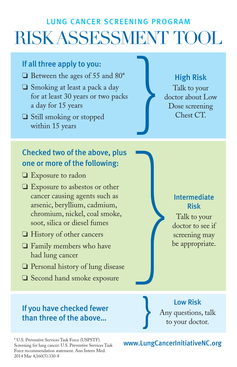# LUNG CANCER SCREENING PROGRAM RISK ASSESSMENT TOOL

}

#### If all three apply to you:

- ❏ Between the ages of 55 and 80\*
- ❏ Smoking at least a pack a day for at least 30 years or two packs a day for 15 years
- ❏ Still smoking or stopped within 15 years

## Checked two of the above, plus one or more of the following:

- ❏ Exposure to radon
- ❏ Exposure to asbestos or other cancer causing agents such as arsenic, beryllium, cadmium, chromium, nickel, coal smoke, soot, silica or diesel fumes
- ❏ History of other cancers
- ❏ Family members who have had lung cancer
- ❏ Personal history of lung disease
- ❏ Second hand smoke exposure

#### If you have checked fewer than three of the above…

\* U.S. Preventive Services Task Force (USPSTF). Screening for lung cancer: U.S. Preventive Services Task Force recommendation statement. Ann Intern Med. 2014 Mar 4;160(5):330-8

High Risk Talk to your

doctor about Low Dose screening Chest CT.

> Intermediate Risk

Talk to your doctor to see if screening may be appropriate. }

> Low Risk Any questions, talk to your doctor.

#### www.LungCancerInitiativeNC.org

}